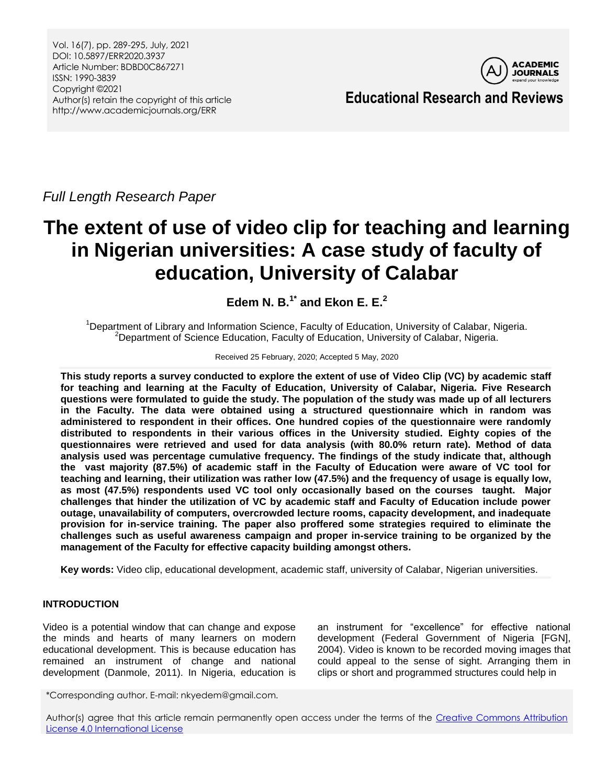Vol. 16(7), pp. 289-295, July, 2021 DOI: 10.5897/ERR2020.3937 Article Number: BDBD0C867271 ISSN: 1990-3839 Copyright ©2021 Author(s) retain the copyright of this article http://www.academicjournals.org/ERR



**Educational Research and Reviews**

*Full Length Research Paper*

# **The extent of use of video clip for teaching and learning in Nigerian universities: A case study of faculty of education, University of Calabar**

**Edem N. B.1\* and Ekon E. E.<sup>2</sup>**

<sup>1</sup>Department of Library and Information Science, Faculty of Education, University of Calabar, Nigeria. <sup>2</sup>Department of Science Education, Faculty of Education, University of Calabar, Nigeria.

#### Received 25 February, 2020; Accepted 5 May, 2020

**This study reports a survey conducted to explore the extent of use of Video Clip (VC) by academic staff for teaching and learning at the Faculty of Education, University of Calabar, Nigeria. Five Research questions were formulated to guide the study. The population of the study was made up of all lecturers in the Faculty. The data were obtained using a structured questionnaire which in random was administered to respondent in their offices. One hundred copies of the questionnaire were randomly distributed to respondents in their various offices in the University studied. Eighty copies of the questionnaires were retrieved and used for data analysis (with 80.0% return rate). Method of data analysis used was percentage cumulative frequency. The findings of the study indicate that, although the vast majority (87.5%) of academic staff in the Faculty of Education were aware of VC tool for teaching and learning, their utilization was rather low (47.5%) and the frequency of usage is equally low, as most (47.5%) respondents used VC tool only occasionally based on the courses taught. Major challenges that hinder the utilization of VC by academic staff and Faculty of Education include power outage, unavailability of computers, overcrowded lecture rooms, capacity development, and inadequate provision for in-service training. The paper also proffered some strategies required to eliminate the challenges such as useful awareness campaign and proper in-service training to be organized by the management of the Faculty for effective capacity building amongst others.**

**Key words:** Video clip, educational development, academic staff, university of Calabar, Nigerian universities.

## **INTRODUCTION**

Video is a potential window that can change and expose the minds and hearts of many learners on modern educational development. This is because education has remained an instrument of change and national development (Danmole, 2011). In Nigeria, education is

an instrument for "excellence" for effective national development (Federal Government of Nigeria [FGN], 2004). Video is known to be recorded moving images that could appeal to the sense of sight. Arranging them in clips or short and programmed structures could help in

\*Corresponding author. E-mail: nkyedem@gmail.com.

Author(s) agree that this article remain permanently open access under the terms of the Creative Commons Attribution [License 4.0 International License](http://creativecommons.org/licenses/by/4.0/deed.en_US)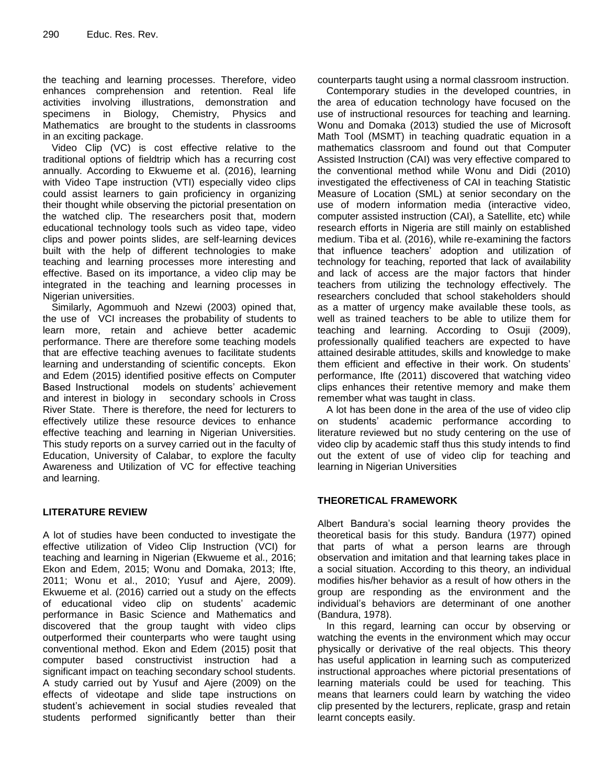the teaching and learning processes. Therefore, video enhances comprehension and retention. Real life activities involving illustrations, demonstration and specimens in Biology, Chemistry, Physics and Mathematics are brought to the students in classrooms in an exciting package.

Video Clip (VC) is cost effective relative to the traditional options of fieldtrip which has a recurring cost annually. According to Ekwueme et al. (2016), learning with Video Tape instruction (VTI) especially video clips could assist learners to gain proficiency in organizing their thought while observing the pictorial presentation on the watched clip. The researchers posit that, modern educational technology tools such as video tape, video clips and power points slides, are self-learning devices built with the help of different technologies to make teaching and learning processes more interesting and effective. Based on its importance, a video clip may be integrated in the teaching and learning processes in Nigerian universities.

Similarly, Agommuoh and Nzewi (2003) opined that, the use of VCI increases the probability of students to learn more, retain and achieve better academic performance. There are therefore some teaching models that are effective teaching avenues to facilitate students learning and understanding of scientific concepts. Ekon and Edem (2015) identified positive effects on Computer Based Instructional models on students' achievement and interest in biology in secondary schools in Cross River State. There is therefore, the need for lecturers to effectively utilize these resource devices to enhance effective teaching and learning in Nigerian Universities. This study reports on a survey carried out in the faculty of Education, University of Calabar, to explore the faculty Awareness and Utilization of VC for effective teaching and learning.

## **LITERATURE REVIEW**

A lot of studies have been conducted to investigate the effective utilization of Video Clip Instruction (VCI) for teaching and learning in Nigerian (Ekwueme et al., 2016; Ekon and Edem, 2015; Wonu and Domaka, 2013; Ifte, 2011; Wonu et al., 2010; Yusuf and Ajere, 2009). Ekwueme et al. (2016) carried out a study on the effects of educational video clip on students' academic performance in Basic Science and Mathematics and discovered that the group taught with video clips outperformed their counterparts who were taught using conventional method. Ekon and Edem (2015) posit that computer based constructivist instruction had a significant impact on teaching secondary school students. A study carried out by Yusuf and Ajere (2009) on the effects of videotape and slide tape instructions on student's achievement in social studies revealed that students performed significantly better than their counterparts taught using a normal classroom instruction.

Contemporary studies in the developed countries, in the area of education technology have focused on the use of instructional resources for teaching and learning. Wonu and Domaka (2013) studied the use of Microsoft Math Tool (MSMT) in teaching quadratic equation in a mathematics classroom and found out that Computer Assisted Instruction (CAI) was very effective compared to the conventional method while Wonu and Didi (2010) investigated the effectiveness of CAI in teaching Statistic Measure of Location (SML) at senior secondary on the use of modern information media (interactive video, computer assisted instruction (CAI), a Satellite, etc) while research efforts in Nigeria are still mainly on established medium. Tiba et al. (2016), while re-examining the factors that influence teachers' adoption and utilization of technology for teaching, reported that lack of availability and lack of access are the major factors that hinder teachers from utilizing the technology effectively. The researchers concluded that school stakeholders should as a matter of urgency make available these tools, as well as trained teachers to be able to utilize them for teaching and learning. According to Osuji (2009), professionally qualified teachers are expected to have attained desirable attitudes, skills and knowledge to make them efficient and effective in their work. On students' performance, Ifte (2011) discovered that watching video clips enhances their retentive memory and make them remember what was taught in class.

A lot has been done in the area of the use of video clip on students' academic performance according to literature reviewed but no study centering on the use of video clip by academic staff thus this study intends to find out the extent of use of video clip for teaching and learning in Nigerian Universities

## **THEORETICAL FRAMEWORK**

Albert Bandura's social learning theory provides the theoretical basis for this study. Bandura (1977) opined that parts of what a person learns are through observation and imitation and that learning takes place in a social situation. According to this theory, an individual modifies his/her behavior as a result of how others in the group are responding as the environment and the individual's behaviors are determinant of one another (Bandura, 1978).

In this regard, learning can occur by observing or watching the events in the environment which may occur physically or derivative of the real objects. This theory has useful application in learning such as computerized instructional approaches where pictorial presentations of learning materials could be used for teaching. This means that learners could learn by watching the video clip presented by the lecturers, replicate, grasp and retain learnt concepts easily.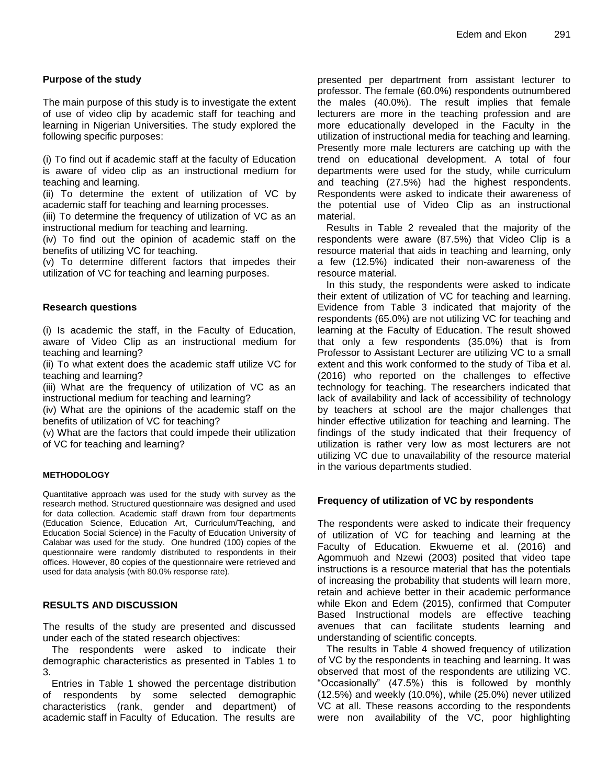## **Purpose of the study**

The main purpose of this study is to investigate the extent of use of video clip by academic staff for teaching and learning in Nigerian Universities. The study explored the following specific purposes:

(i) To find out if academic staff at the faculty of Education is aware of video clip as an instructional medium for teaching and learning.

(ii) To determine the extent of utilization of VC by academic staff for teaching and learning processes.

(iii) To determine the frequency of utilization of VC as an instructional medium for teaching and learning.

(iv) To find out the opinion of academic staff on the benefits of utilizing VC for teaching.

(v) To determine different factors that impedes their utilization of VC for teaching and learning purposes.

#### **Research questions**

(i) Is academic the staff, in the Faculty of Education, aware of Video Clip as an instructional medium for teaching and learning?

(ii) To what extent does the academic staff utilize VC for teaching and learning?

(iii) What are the frequency of utilization of VC as an instructional medium for teaching and learning?

(iv) What are the opinions of the academic staff on the benefits of utilization of VC for teaching?

(v) What are the factors that could impede their utilization of VC for teaching and learning?

#### **METHODOLOGY**

Quantitative approach was used for the study with survey as the research method. Structured questionnaire was designed and used for data collection. Academic staff drawn from four departments (Education Science, Education Art, Curriculum/Teaching, and Education Social Science) in the Faculty of Education University of Calabar was used for the study. One hundred (100) copies of the questionnaire were randomly distributed to respondents in their offices. However, 80 copies of the questionnaire were retrieved and used for data analysis (with 80.0% response rate).

## **RESULTS AND DISCUSSION**

The results of the study are presented and discussed under each of the stated research objectives:

The respondents were asked to indicate their demographic characteristics as presented in Tables 1 to 3.

Entries in Table 1 showed the percentage distribution of respondents by some selected demographic characteristics (rank, gender and department) of academic staff in Faculty of Education. The results are presented per department from assistant lecturer to professor. The female (60.0%) respondents outnumbered the males (40.0%). The result implies that female lecturers are more in the teaching profession and are more educationally developed in the Faculty in the utilization of instructional media for teaching and learning. Presently more male lecturers are catching up with the trend on educational development. A total of four departments were used for the study, while curriculum and teaching (27.5%) had the highest respondents. Respondents were asked to indicate their awareness of the potential use of Video Clip as an instructional material.

Results in Table 2 revealed that the majority of the respondents were aware (87.5%) that Video Clip is a resource material that aids in teaching and learning, only a few (12.5%) indicated their non-awareness of the resource material.

In this study, the respondents were asked to indicate their extent of utilization of VC for teaching and learning. Evidence from Table 3 indicated that majority of the respondents (65.0%) are not utilizing VC for teaching and learning at the Faculty of Education. The result showed that only a few respondents (35.0%) that is from Professor to Assistant Lecturer are utilizing VC to a small extent and this work conformed to the study of Tiba et al. (2016) who reported on the challenges to effective technology for teaching. The researchers indicated that lack of availability and lack of accessibility of technology by teachers at school are the major challenges that hinder effective utilization for teaching and learning. The findings of the study indicated that their frequency of utilization is rather very low as most lecturers are not utilizing VC due to unavailability of the resource material in the various departments studied.

#### **Frequency of utilization of VC by respondents**

The respondents were asked to indicate their frequency of utilization of VC for teaching and learning at the Faculty of Education. Ekwueme et al. (2016) and Agommuoh and Nzewi (2003) posited that video tape instructions is a resource material that has the potentials of increasing the probability that students will learn more, retain and achieve better in their academic performance while Ekon and Edem (2015), confirmed that Computer Based Instructional models are effective teaching avenues that can facilitate students learning and understanding of scientific concepts.

The results in Table 4 showed frequency of utilization of VC by the respondents in teaching and learning. It was observed that most of the respondents are utilizing VC. "Occasionally" (47.5%) this is followed by monthly (12.5%) and weekly (10.0%), while (25.0%) never utilized VC at all. These reasons according to the respondents were non availability of the VC, poor highlighting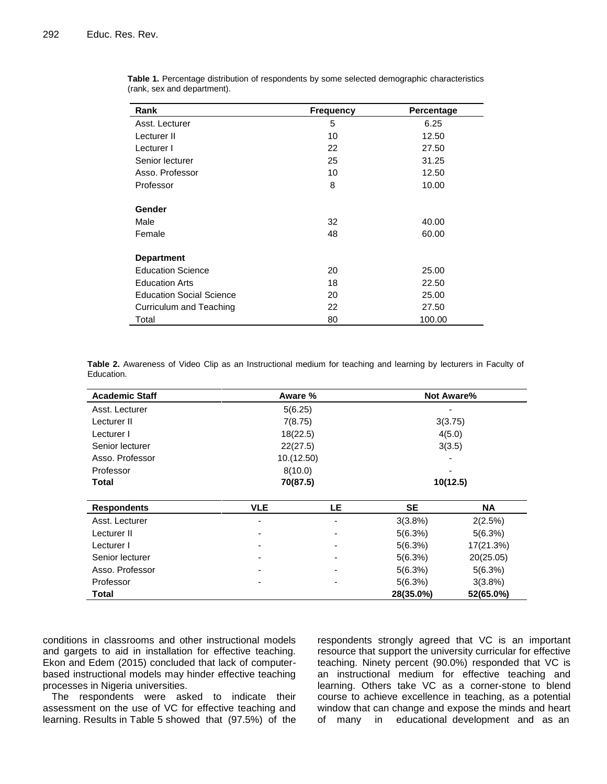| Rank                            | <b>Frequency</b> | Percentage |
|---------------------------------|------------------|------------|
| Asst. Lecturer                  | 5                | 6.25       |
| Lecturer II                     | 10               | 12.50      |
| Lecturer I                      | 22               | 27.50      |
| Senior lecturer                 | 25               | 31.25      |
| Asso. Professor                 | 10               | 12.50      |
| Professor                       | 8                | 10.00      |
| Gender                          |                  |            |
| Male                            | 32               | 40.00      |
| Female                          | 48               | 60.00      |
| <b>Department</b>               |                  |            |
| <b>Education Science</b>        | 20               | 25.00      |
| <b>Education Arts</b>           | 18               | 22.50      |
| <b>Education Social Science</b> | 20               | 25.00      |
| Curriculum and Teaching         | 22               | 27.50      |
| Total                           | 80               | 100.00     |

**Table 1.** Percentage distribution of respondents by some selected demographic characteristics (rank, sex and department).

**Table 2.** Awareness of Video Clip as an Instructional medium for teaching and learning by lecturers in Faculty of Education.

| <b>Academic Staff</b> |            | Aware %    |           | <b>Not Aware%</b> |  |
|-----------------------|------------|------------|-----------|-------------------|--|
| Asst. Lecturer        |            | 5(6.25)    |           |                   |  |
| Lecturer II           | 7(8.75)    |            |           | 3(3.75)           |  |
| Lecturer I            | 18(22.5)   |            |           | 4(5.0)            |  |
| Senior lecturer       |            | 22(27.5)   |           | 3(3.5)            |  |
| Asso, Professor       |            | 10.(12.50) |           |                   |  |
| Professor             |            | 8(10.0)    |           |                   |  |
| Total                 |            | 70(87.5)   |           | 10(12.5)          |  |
|                       |            |            |           |                   |  |
| <b>Respondents</b>    | <b>VLE</b> | LE.        | <b>SE</b> | <b>NA</b>         |  |
| Asst. Lecturer        |            | ۰          | 3(3.8%)   | 2(2.5%)           |  |
| Lecturer II           |            |            | 5(6.3%)   | 5(6.3%)           |  |
| Lecturer I            |            | ۰          | 5(6.3%)   | 17(21.3%)         |  |
| Senior lecturer       |            | ۰          | 5(6.3%)   | 20(25.05)         |  |
| Asso, Professor       |            |            | 5(6.3%)   | 5(6.3%)           |  |
| Professor             |            |            | 5(6.3%)   | 3(3.8%)           |  |
| Total                 |            |            | 28(35.0%) | 52(65.0%)         |  |

conditions in classrooms and other instructional models and gargets to aid in installation for effective teaching. Ekon and Edem (2015) concluded that lack of computerbased instructional models may hinder effective teaching processes in Nigeria universities.

The respondents were asked to indicate their assessment on the use of VC for effective teaching and learning. Results in Table 5 showed that (97.5%) of the

respondents strongly agreed that VC is an important resource that support the university curricular for effective teaching. Ninety percent (90.0%) responded that VC is an instructional medium for effective teaching and learning. Others take VC as a corner-stone to blend course to achieve excellence in teaching, as a potential window that can change and expose the minds and heart of many in educational development and as an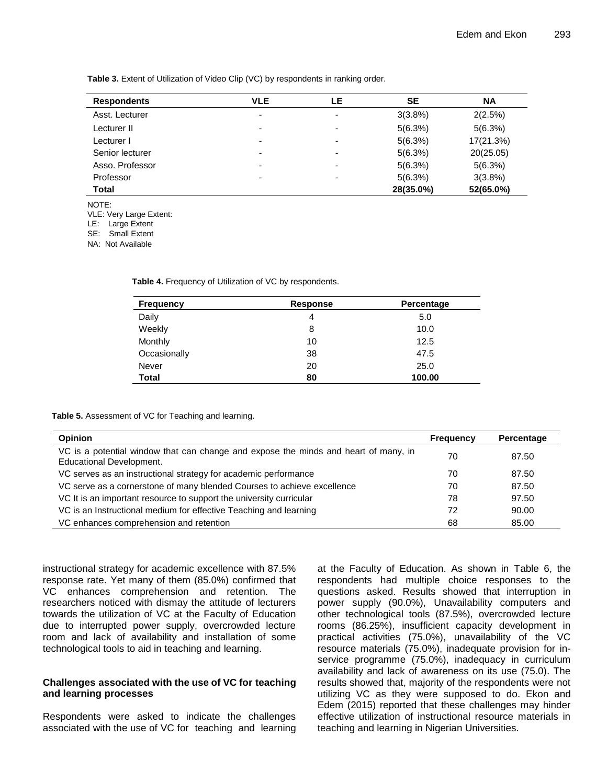**Table 3.** Extent of Utilization of Video Clip (VC) by respondents in ranking order.

| <b>Respondents</b> | <b>VLE</b>               | LE                       | <b>SE</b> | <b>NA</b> |
|--------------------|--------------------------|--------------------------|-----------|-----------|
| Asst. Lecturer     | ٠                        | ۰                        | 3(3.8%)   | 2(2.5%)   |
| Lecturer II        | $\overline{\phantom{0}}$ | ۰                        | 5(6.3%)   | 5(6.3%)   |
| Lecturer I         | $\overline{\phantom{a}}$ | $\overline{\phantom{0}}$ | 5(6.3%)   | 17(21.3%) |
| Senior lecturer    | $\overline{\phantom{0}}$ | ۰                        | 5(6.3%)   | 20(25.05) |
| Asso. Professor    | $\overline{\phantom{a}}$ | ٠                        | 5(6.3%)   | 5(6.3%)   |
| Professor          | -                        | ٠                        | 5(6.3%)   | 3(3.8%)   |
| <b>Total</b>       |                          |                          | 28(35.0%) | 52(65.0%) |

NOTE: VLE: Very Large Extent: LE: Large Extent

SE: Small Extent

NA: Not Available

**Table 4.** Frequency of Utilization of VC by respondents.

| <b>Frequency</b> | Response | Percentage |
|------------------|----------|------------|
| Daily            | 4        | 5.0        |
| Weekly           | 8        | 10.0       |
| Monthly          | 10       | 12.5       |
| Occasionally     | 38       | 47.5       |
| Never            | 20       | 25.0       |
| <b>Total</b>     | 80       | 100.00     |

**Table 5.** Assessment of VC for Teaching and learning.

| <b>Opinion</b>                                                                                                  | Frequency | Percentage |
|-----------------------------------------------------------------------------------------------------------------|-----------|------------|
| VC is a potential window that can change and expose the minds and heart of many, in<br>Educational Development. | 70        | 87.50      |
| VC serves as an instructional strategy for academic performance                                                 | 70        | 87.50      |
| VC serve as a cornerstone of many blended Courses to achieve excellence                                         | 70        | 87.50      |
| VC It is an important resource to support the university curricular                                             | 78        | 97.50      |
| VC is an Instructional medium for effective Teaching and learning                                               | 72        | 90.00      |
| VC enhances comprehension and retention                                                                         | 68        | 85.00      |

instructional strategy for academic excellence with 87.5% response rate. Yet many of them (85.0%) confirmed that VC enhances comprehension and retention. The researchers noticed with dismay the attitude of lecturers towards the utilization of VC at the Faculty of Education due to interrupted power supply, overcrowded lecture room and lack of availability and installation of some technological tools to aid in teaching and learning.

## **Challenges associated with the use of VC for teaching and learning processes**

Respondents were asked to indicate the challenges associated with the use of VC for teaching and learning at the Faculty of Education. As shown in Table 6, the respondents had multiple choice responses to the questions asked. Results showed that interruption in power supply (90.0%), Unavailability computers and other technological tools (87.5%), overcrowded lecture rooms (86.25%), insufficient capacity development in practical activities (75.0%), unavailability of the VC resource materials (75.0%), inadequate provision for inservice programme (75.0%), inadequacy in curriculum availability and lack of awareness on its use (75.0). The results showed that, majority of the respondents were not utilizing VC as they were supposed to do. Ekon and Edem (2015) reported that these challenges may hinder effective utilization of instructional resource materials in teaching and learning in Nigerian Universities.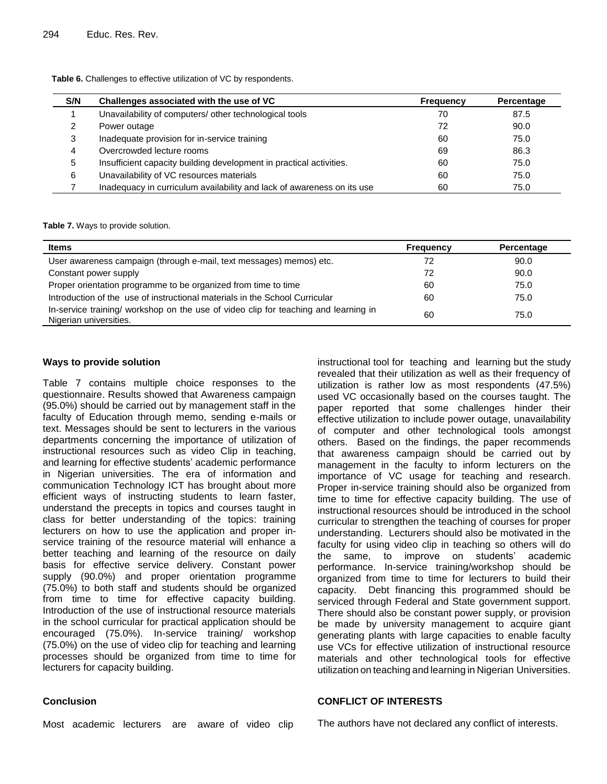| S/N | Challenges associated with the use of VC                               | <b>Frequency</b> | Percentage |
|-----|------------------------------------------------------------------------|------------------|------------|
|     | Unavailability of computers/ other technological tools                 | 70               | 87.5       |
|     | Power outage                                                           | 72               | 90.0       |
| 3   | Inadequate provision for in-service training                           | 60               | 75.0       |
| 4   | Overcrowded lecture rooms                                              | 69               | 86.3       |
| 5   | Insufficient capacity building development in practical activities.    | 60               | 75.0       |
| 6   | Unavailability of VC resources materials                               | 60               | 75.0       |
|     | Inadequacy in curriculum availability and lack of awareness on its use | 60               | 75.0       |

Table 6. Challenges to effective utilization of VC by respondents.

**Table 7.** Ways to provide solution.

| <b>Items</b>                                                                                                  | Frequency | Percentage |
|---------------------------------------------------------------------------------------------------------------|-----------|------------|
| User awareness campaign (through e-mail, text messages) memos) etc.                                           | 72        | 90.0       |
| Constant power supply                                                                                         | 72        | 90.0       |
| Proper orientation programme to be organized from time to time                                                | 60        | 75.0       |
| Introduction of the use of instructional materials in the School Curricular                                   | 60        | 75.0       |
| In-service training/ workshop on the use of video clip for teaching and learning in<br>Nigerian universities. | 60        | 75.0       |

## **Ways to provide solution**

Table 7 contains multiple choice responses to the questionnaire. Results showed that Awareness campaign (95.0%) should be carried out by management staff in the faculty of Education through memo, sending e-mails or text. Messages should be sent to lecturers in the various departments concerning the importance of utilization of instructional resources such as video Clip in teaching, and learning for effective students' academic performance in Nigerian universities. The era of information and communication Technology ICT has brought about more efficient ways of instructing students to learn faster, understand the precepts in topics and courses taught in class for better understanding of the topics: training lecturers on how to use the application and proper inservice training of the resource material will enhance a better teaching and learning of the resource on daily basis for effective service delivery. Constant power supply (90.0%) and proper orientation programme (75.0%) to both staff and students should be organized from time to time for effective capacity building. Introduction of the use of instructional resource materials in the school curricular for practical application should be encouraged (75.0%). In-service training/ workshop (75.0%) on the use of video clip for teaching and learning processes should be organized from time to time for lecturers for capacity building.

instructional tool for teaching and learning but the study revealed that their utilization as well as their frequency of utilization is rather low as most respondents (47.5%) used VC occasionally based on the courses taught. The paper reported that some challenges hinder their effective utilization to include power outage, unavailability of computer and other technological tools amongst others. Based on the findings, the paper recommends that awareness campaign should be carried out by management in the faculty to inform lecturers on the importance of VC usage for teaching and research. Proper in-service training should also be organized from time to time for effective capacity building. The use of instructional resources should be introduced in the school curricular to strengthen the teaching of courses for proper understanding. Lecturers should also be motivated in the faculty for using video clip in teaching so others will do the same, to improve on students' academic performance. In-service training/workshop should be organized from time to time for lecturers to build their capacity. Debt financing this programmed should be serviced through Federal and State government support. There should also be constant power supply, or provision be made by university management to acquire giant generating plants with large capacities to enable faculty use VCs for effective utilization of instructional resource materials and other technological tools for effective utilization on teaching and learning in Nigerian Universities.

## **Conclusion**

#### **CONFLICT OF INTERESTS**

Most academic lecturers are aware of video clip

The authors have not declared any conflict of interests.